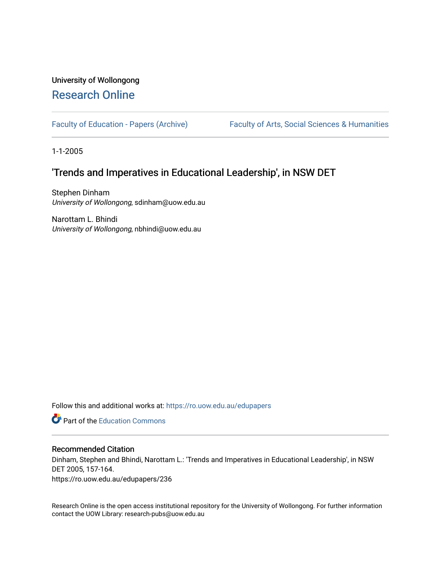# University of Wollongong [Research Online](https://ro.uow.edu.au/)

[Faculty of Education - Papers \(Archive\)](https://ro.uow.edu.au/edupapers) Faculty of Arts, Social Sciences & Humanities

1-1-2005

# 'Trends and Imperatives in Educational Leadership', in NSW DET

Stephen Dinham University of Wollongong, sdinham@uow.edu.au

Narottam L. Bhindi University of Wollongong, nbhindi@uow.edu.au

Follow this and additional works at: [https://ro.uow.edu.au/edupapers](https://ro.uow.edu.au/edupapers?utm_source=ro.uow.edu.au%2Fedupapers%2F236&utm_medium=PDF&utm_campaign=PDFCoverPages) 

**Part of the [Education Commons](http://network.bepress.com/hgg/discipline/784?utm_source=ro.uow.edu.au%2Fedupapers%2F236&utm_medium=PDF&utm_campaign=PDFCoverPages)** 

#### Recommended Citation

Dinham, Stephen and Bhindi, Narottam L.: 'Trends and Imperatives in Educational Leadership', in NSW DET 2005, 157-164.

https://ro.uow.edu.au/edupapers/236

Research Online is the open access institutional repository for the University of Wollongong. For further information contact the UOW Library: research-pubs@uow.edu.au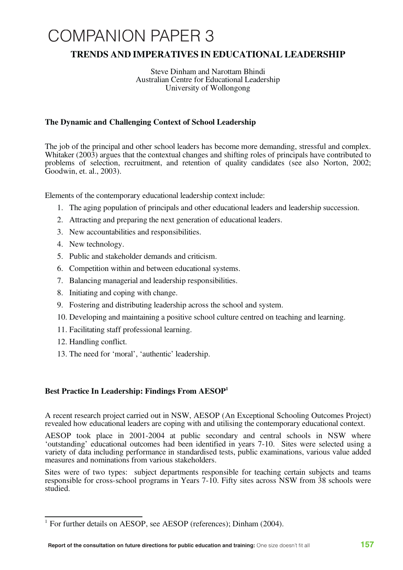# COMPANION PAPER 3

# **TRENDS AND IMPERATIVES IN EDUCATIONAL LEADERSHIP**

Steve Dinham and Narottam Bhindi Australian Centre for Educational Leadership University of Wollongong

# **The Dynamic and Challenging Context of School Leadership**

The job of the principal and other school leaders has become more demanding, stressful and complex. Whitaker (2003) argues that the contextual changes and shifting roles of principals have contributed to problems of selection, recruitment, and retention of quality candidates (see also Norton, 2002; Goodwin, et. al., 2003).

Elements of the contemporary educational leadership context include:

- 1. The aging population of principals and other educational leaders and leadership succession.
- 2. Attracting and preparing the next generation of educational leaders.
- 3. New accountabilities and responsibilities.
- 4. New technology.
- 5. Public and stakeholder demands and criticism.
- 6. Competition within and between educational systems.
- 7. Balancing managerial and leadership responsibilities.
- 8. Initiating and coping with change.
- 9. Fostering and distributing leadership across the school and system.
- 10. Developing and maintaining a positive school culture centred on teaching and learning.
- 11. Facilitating staff professional learning.
- 12. Handling conflict.
- 13. The need for 'moral', 'authentic' leadership.

# **Best Practice In Leadership: Findings From AESOP1**

A recent research project carried out in NSW, AESOP (An Exceptional Schooling Outcomes Project) revealed how educational leaders are coping with and utilising the contemporary educational context.

AESOP took place in 2001-2004 at public secondary and central schools in NSW where 'outstanding' educational outcomes had been identified in years 7-10. Sites were selected using a variety of data including performance in standardised tests, public examinations, various value added measures and nominations from various stakeholders.

Sites were of two types: subject departments responsible for teaching certain subjects and teams responsible for cross-school programs in Years 7-10. Fifty sites across NSW from 38 schools were studied.

<sup>&</sup>lt;sup>1</sup> For further details on AESOP, see AESOP (references); Dinham (2004).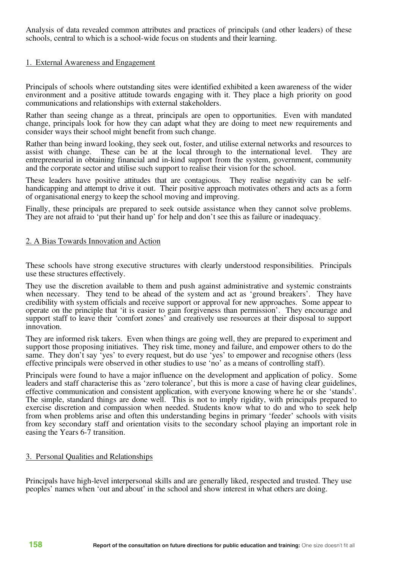Analysis of data revealed common attributes and practices of principals (and other leaders) of these schools, central to which is a school-wide focus on students and their learning.

#### 1. External Awareness and Engagement

Principals of schools where outstanding sites were identified exhibited a keen awareness of the wider environment and a positive attitude towards engaging with it. They place a high priority on good communications and relationships with external stakeholders.

Rather than seeing change as a threat, principals are open to opportunities. Even with mandated change, principals look for how they can adapt what they are doing to meet new requirements and consider ways their school might benefit from such change.

Rather than being inward looking, they seek out, foster, and utilise external networks and resources to assist with change. These can be at the local through to the international level. They are entrepreneurial in obtaining financial and in-kind support from the system, government, community and the corporate sector and utilise such support to realise their vision for the school.

These leaders have positive attitudes that are contagious. They realise negativity can be self- handicapping and attempt to drive it out. Their positive approach motivates others and acts as <sup>a</sup> form of organisational energy to keep the school moving and improving.

Finally, these principals are prepared to seek outside assistance when they cannot solve problems. They are not afraid to 'put their hand up' for help and don't see this as failure or inadequacy.

#### 2. A Bias Towards Innovation and Action

These schools have strong executive structures with clearly understood responsibilities. Principals use these structures effectively.

They use the discretion available to them and push against administrative and systemic constraints when necessary. They tend to be ahead of the system and act as 'ground breakers'. They have credibility with system officials and receive support or approval for new approaches. Some appear to operate on the principle that 'it is easier to gain forgiveness than permission'. They encourage and support staff to leave their 'comfort zones' and creatively use resources at their disposal to support innovation.

They are informed risk takers. Even when things are going well, they are prepared to experiment and support those proposing initiatives. They risk time, money and failure, and empower others to do the same. They don't say 'yes' to every request, but do use 'yes' to empower and recognise others (less effective principals were observed in other studies to use 'no' as a means of controlling staff).

Principals were found to have a major influence on the development and application of policy. Some leaders and staff characterise this as 'zero tolerance', but this is more a case of having clear guidelines, effective communication and consistent application, with everyone knowing where he or she 'stands'. The simple, s exercise discretion and compassion when needed. Students know what to do and who to seek help from when problems arise and often this understanding begins in primary 'feeder' schools with visits from key secondary staff and orientation visits to the secondary school playing an important role in easing the Years 6-7 transition.

# 3. Personal Qualities and Relationships

Principals have high-level interpersonal skills and are generally liked, respected and trusted. They use peoples' names when 'out and about' in the school and show interest in what others are doing.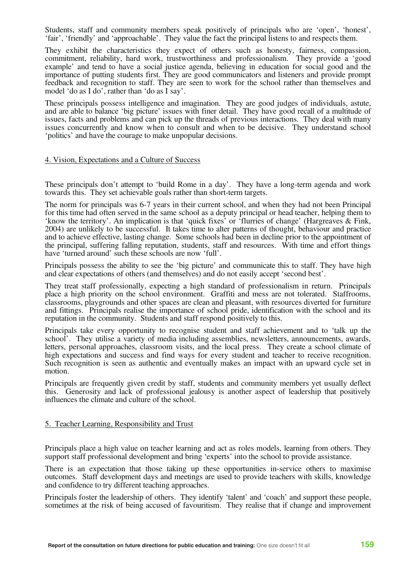Students, staff and community members speak positively of principals who are 'open', 'honest', 'fair', 'friendly' and 'approachable'. They value the fact the principal listens to and respects them.

They exhibit the characteristics they expect of others such as honesty, fairness, compassion, commitment, reliability, hard work, trustworthiness and professionalism. They provide a 'good example' and tend to have a social justice agenda, believing in education for social good and the importance of putting students first. They are good communicators and listeners and provide prompt feedback and recognition to staff. They are seen to work for the school rather than themselves and model 'do as I do', rather than 'do as I say'.

These principals possess intelligence and imagination. They are good judges of individuals, astute, and are able to balance 'big picture' issues with finer detail. They have good recall of <sup>a</sup> multitude of issues, facts and problems and can pick up the threads of previous interactions. They deal with many issues concurrently and know when to consult and when to be decisive. They understand school 'politics' and have the courage to make unpopular decisions.

#### 4. Vision, Expectations and a Culture of Success

These principals don't attempt to 'build Rome in a day'. They have a long-term agenda and work towards this. They set achievable goals rather than short-term targets.

The norm for principals was 6-7 years in their current school, and when they had not been Principal for this time had often served in the same school as a deputy principal or head teacher, helping them to 'know the territory'. An implication is that 'quick fixes' or 'flurries of change' (Hargreaves & Fink, 2004) are unlikely to be successful. It takes time to alter patterns of thought, behaviour and practice and to achieve effective, lasting change. Some schools had been in decline prior to the appointment of the principal, suffering falling reputation, students, staff and resources. With time and effort things have 'turned around' such these schools are now 'full'.

Principals possess the ability to see the 'big picture' and communicate this to staff. They have high and clear expectations of others (and themselves) and do not easily accept 'second best'.

They treat staff professionally, expecting a high standard of professionalism in return. Principals place <sup>a</sup> high priority on the school environment. Graffiti and mess are not tolerated. Staffrooms, classrooms, playgrounds and other spaces are clean and pleasant, with resources diverted for furniture and fittings. Principals realise the importance of school pride, identification with the school and its reputation in the community. Students and staff respond positively to this.

Principals take every opportunity to recognise student and staff achievement and to 'talk up the school'. They utilise <sup>a</sup> variety of media including assemblies, newsletters, announcements, awards, letters, personal approaches, classroom visits, and the local press. They create <sup>a</sup> school climate of high expectations and success and find ways for every student and teacher to receive recognition. Such recognition is seen as authentic and eventually makes an impact with an upward cycle set in motion.

Principals are frequently given credit by staff, students and community members yet usually deflect this. Generosity and lack of professional jealousy is another aspect of leadership that positively influences the climate and culture of the school.

#### 5. Teacher Learning, Responsibility and Trust

Principals place a high value on teacher learning and act as roles models, learning from others. They support staff professional development and bring 'experts' into the school to provide assistance.

There is an expectation that those taking up these opportunities in-service others to maximise outcomes. Staff development days and meetings are used to provide teachers with skills, knowledge and confidence to try different teaching approaches.

Principals foster the leadership of others. They identify 'talent' and 'coach' and support these people, sometimes at the risk of being accused of favouritism. They realise that if change and improvement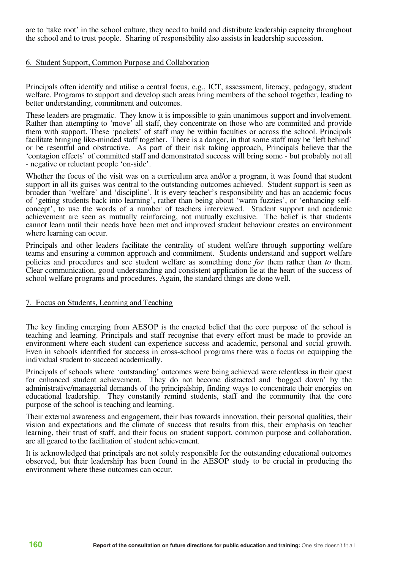are to 'take root' in the school culture, they need to build and distribute leadership capacity throughout the school and to trust people. Sharing of responsibility also assists in leadership succession.

#### 6. Student Support, Common Purpose and Collaboration

Principals often identify and utilise a central focus, e.g., ICT, assessment, literacy, pedagogy, student welfare. Programs to support and develop such areas bring members of the school together, leading to better understanding, commitment and outcomes.

These leaders are pragmatic. They know it is impossible to gain unanimous support and involvement. Rather than attempting to 'move' all staff, they concentrate on those who are committed and provide them with support. These 'pockets' of staff may be within faculties or across the school. Principals facilitate bringing like-minded staff together. There is a danger, in that some staff may be 'left behind' or be resentful and obstructive. As part of their risk taking approach, Principals believe that the contagion effects' of committed staff and demonstrated success will bring some - but probably not all<br>- negative or reluctant people 'on-side'.

Whether the focus of the visit was on a curriculum area and/or a program, it was found that student support in all its guises was central to the outstanding outcomes achieved. Student support is seen as broader than 'welfare' and 'discipline'. It is every teacher's responsibility and has an academic focus concept', to use the words of a number of teachers interviewed. Student support and academic achievement are seen as mutually reinforcing, not mutually exclusive. The belief is that students cannot learn until their needs have been met and improved student behaviour creates an environment where learning can occur.

Principals and other leaders facilitate the centrality of student welfare through supporting welfare teams and ensuring a common approach and commitment. Students understand and support welfare policies and procedures and see student welfare as something done *for* them rather than *to* them. Clear communication, good understanding and consistent application lie at the heart of the success of school welfare programs and procedures. Again, the standard things are done well.

#### 7. Focus on Students, Learning and Teaching

The key finding emerging from AESOP is the enacted belief that the core purpose of the school is teaching and learning. Principals and staff recognise that every effort must be made to provide an environment where each student can experience success and academic, personal and social growth. Even in schools identified for success in cross-school programs there was a focus on equipping the individual student to succeed academically.

Principals of schools where 'outstanding' outcomes were being achieved were relentless in their quest for enhanced student achievement. They do not become distracted and 'bogged down' by the administrative/managerial demands of the principalship, finding ways to concentrate their energies on educational leadership. They constantly remind students, staff and the community that the core purpose of the school is teaching and learning.

Their external awareness and engagement, their bias towards innovation, their personal qualities, their vision and expectations and the climate of success that results from this, their emphasis on teacher learning, their trust of staff, and their focus on student support, common purpose and collaboration, are all geared to the facilitation of student achievement.

It is acknowledged that principals are not solely responsible for the outstanding educational outcomes observed, but their leadership has been found in the AESOP study to be crucial in producing the environment where these outcomes can occur.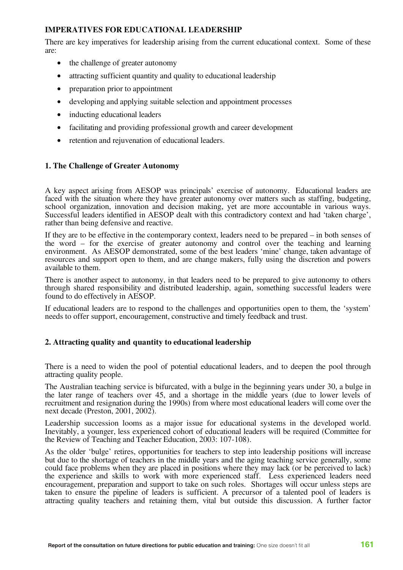# **IMPERATIVES FOR EDUCATIONAL LEADERSHIP**

There are key imperatives for leadership arising from the current educational context. Some of these are:

- the challenge of greater autonomy
- attracting sufficient quantity and quality to educational leadership
- preparation prior to appointment
- developing and applying suitable selection and appointment processes
- inducting educational leaders
- facilitating and providing professional growth and career development
- retention and rejuvenation of educational leaders.

# **1. The Challenge of Greater Autonomy**

A key aspect arising from AESOP was principals' exercise of autonomy. Educational leaders are faced with the situation where they have greater autonomy over matters such as staffing, budgeting, school organization, innovation and decision making, yet are more accountable in various ways. Successful leaders identified in AESOP dealt with this contradictory context and had 'taken charge', rather than being defensive and reactive.

If they are to be effective in the contemporary context, leaders need to be prepared – in both senses of the word – for the exercise of greater autonomy and control over the teaching and learning environment. As AESOP demonstrated, some of the best leaders 'mine' change, taken advantage of resources and support open to them, and are change makers, fully using the discretion and powers available to them.

There is another aspect to autonomy, in that leaders need to be prepared to give autonomy to others through shared responsibility and distributed leadership, again, something successful leaders were found to do effectively in AESOP.

If educational leaders are to respond to the challenges and opportunities open to them, the 'system' needs to offer support, encouragement, constructive and timely feedback and trust.

# **2. Attracting quality and quantity to educational leadership**

There is a need to widen the pool of potential educational leaders, and to deepen the pool through attracting quality people.

The Australian teaching service is bifurcated, with a bulge in the beginning years under 30, a bulge in the later range of teachers over 45, and a shortage in the middle years (due to lower levels of recruitment and resignation during the 1990s) from where most educational leaders will come over the next decade (Preston, 2001, 2002).

Leadership succession looms as a major issue for educational systems in the developed world. Inevitably, a younger, less experienced cohort of educational leaders will be required (Committee for the Review of Teaching and Teacher Education, 2003: 107-108).

As the older 'bulge' retires, opportunities for teachers to step into leadership positions will increase but due to the shortage of teachers in the middle years and the aging teaching service generally, some could face problems when they are placed in positions where they may lack (or be perceived to lack) the experience and skills to work with more experienced staff. Less experienced leaders need encouragement, preparation and support to take on such roles. Shortages will occur unless steps are taken to ensure the pipeline of leaders is sufficient. A precursor of a talented pool of leaders is attracting quality teachers and retaining them, vital but outside this discussion. A further factor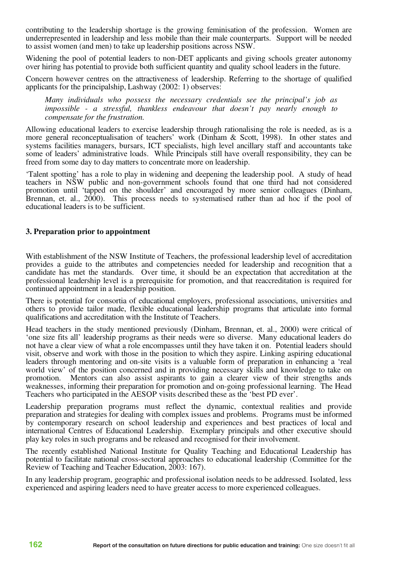contributing to the leadership shortage is the growing feminisation of the profession. Women are underrepresented in leadership and less mobile than their male counterparts. Support will be needed to assist women (and men) to take up leadership positions across NSW.

Widening the pool of potential leaders to non-DET applicants and giving schools greater autonomy over hiring has potential to provide both sufficient quantity and quality school leaders in the future.

Concern however centres on the attractiveness of leadership. Referring to the shortage of qualified applicants for the principalship, Lashway (2002: 1) observes:

*Many individuals who possess the necessary credentials see the principal's job as impossible - a stressful, thankless endeavour that doesn't pay nearly enough to compensate for the frustration.*

Allowing educational leaders to exercise leadership through rationalising the role is needed, as is a more general reconceptualisation of teachers' work (Dinham & Scott, 1998). In other states and systems facilities managers, bursars, ICT specialists, high level ancillary staff and accountants take some of leaders' administrative loads. While Principals still have overall responsibility, they can be freed from some day to day matters to concentrate more on leadership.

'Talent spotting' has a role to play in widening and deepening the leadership pool. A study of head teachers in NSW public and non-government schools found that one third had not considered promotion until 'tapped on the shoulder' and encouraged by more senior colleagues (Dinham, Brennan, et. al., 2000). This process needs to systematised rather than ad hoc if the pool of educational leaders is to be sufficient.

#### **3. Preparation prior to appointment**

With establishment of the NSW Institute of Teachers, the professional leadership level of accreditation provides a guide to the attributes and competencies needed for leadership and recognition that a candidate has met the standards. Over time, it should be an expectation that accreditation at the professional leadership level is a prerequisite for promotion, and that reaccreditation is required for continued appointment in a leadership position.

There is potential for consortia of educational employers, professional associations, universities and others to provide tailor made, flexible educational leadership programs that articulate into formal qualifications and accreditation with the Institute of Teachers.

Head teachers in the study mentioned previously (Dinham, Brennan, et. al., 2000) were critical of 'one size fits all' leadership programs as their needs were so diverse. Many educational leaders do not have a clear view of what a role encompasses until they have taken it on. Potential leaders should visit, observe and work with those in the position to which they aspire. Linking aspiring educational leaders through mentoring and on-site visits is a valuable form of preparation in enhancing a 'real world view' of the position concerned and in providing necessary skills and knowledge to take on promotion. Mentors can also assist aspirants to gain a clearer view of their strengths ands weaknesses, informing their preparation for promotion and on-going professional learning. The Head Teachers who participated in the AESOP visits described these as the 'best PD ever'.

Leadership preparation programs must reflect the dynamic, contextual realities and provide preparation and strategies for dealing with complex issues and problems. Programs must be informed by contemporary research on school leadership and experiences and best practices of local and international Centres of Educational Leadership. Exemplary principals and other executive should play key roles in such programs and be released and recognised for their involvement.

The recently established National Institute for Quality Teaching and Educational Leadership has potential to facilitate national cross-sectoral approaches to educational leadership (Committee for the Review of Teaching and Teacher Education, 2003: 167).

In any leadership program, geographic and professional isolation needs to be addressed. Isolated, less experienced and aspiring leaders need to have greater access to more experienced colleagues.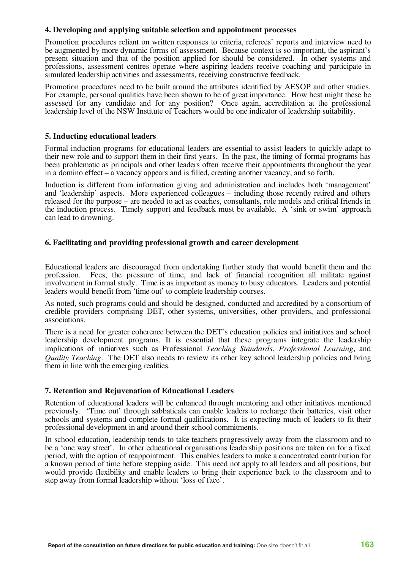# **4. Developing and applying suitable selection and appointment processes**

Promotion procedures reliant on written responses to criteria, referees' reports and interview need to be augmented by more dynamic forms of assessment. Because context is so important, the aspirant's present situation and that of the position applied for should be considered. In other systems and professions, assessment centres operate where aspiring leaders receive coaching and participate in simulated leadership activities and assessments, receiving constructive feedback.

Promotion procedures need to be built around the attributes identified by AESOP and other studies. For example, personal qualities have been shown to be of great importance. How best might these be assessed for any candidate and for any position? Once again, accreditation at the professional leadership level of the NSW Institute of Teachers would be one indicator of leadership suitability.

# **5. Inducting educational leaders**

Formal induction programs for educational leaders are essential to assist leaders to quickly adapt to their new role and to support them in their first years. In the past, the timing of formal programs has been problematic as principals and other leaders often receive their appointments throughout the year in a domino effect – a vacancy appears and is filled, creating another vacancy, and so forth.

Induction is different from information giving and administration and includes both 'management' and 'leadership' aspects. More experienced colleagues – including those recently retired and others released for the purpose – are needed to act as coaches, consultants, role models and critical friends in the induction process. Timely support and feedback must be available. A 'sink or swim' approach can lead to drowning.

# **6. Facilitating and providing professional growth and career development**

Educational leaders are discouraged from undertaking further study that would benefit them and the profession. Fees, the pressure of time, and lack of financial recognition all militate against involvement in formal study. Time is as important as money to busy educators. Leaders and potential leaders would benefit from 'time out' to complete leadership courses.

As noted, such programs could and should be designed, conducted and accredited by a consortium of credible providers comprising DET, other systems, universities, other providers, and professional associations.

There is a need for greater coherence between the DET's education policies and initiatives and school leadership development programs. It is essential that these programs integrate the leadership implications of initiatives such as Professional *Teaching Standards*, *Professional Learning*, and *Quality Teaching*. The DET also needs to review its other key school leadership policies and bring them in line with the emerging realities.

# **7. Retention and Rejuvenation of Educational Leaders**

Retention of educational leaders will be enhanced through mentoring and other initiatives mentioned previously. 'Time out' through sabbaticals can enable leaders to recharge their batteries, visit other schools and systems and complete formal qualifications. It is expecting much of leaders to fit their professional development in and around their school commitments.

In school education, leadership tends to take teachers progressively away from the classroom and to be a 'one way street'. In other educational organisations leadership positions are taken on for a fixed period, with the option of reappointment. This enables leaders to make a concentrated contribution for a known period of time before stepping aside. This need not apply to all leaders and all positions, but would provide flexibility and enable leaders to bring their experience back to the classroom and to step away from formal leadership without 'loss of face'.